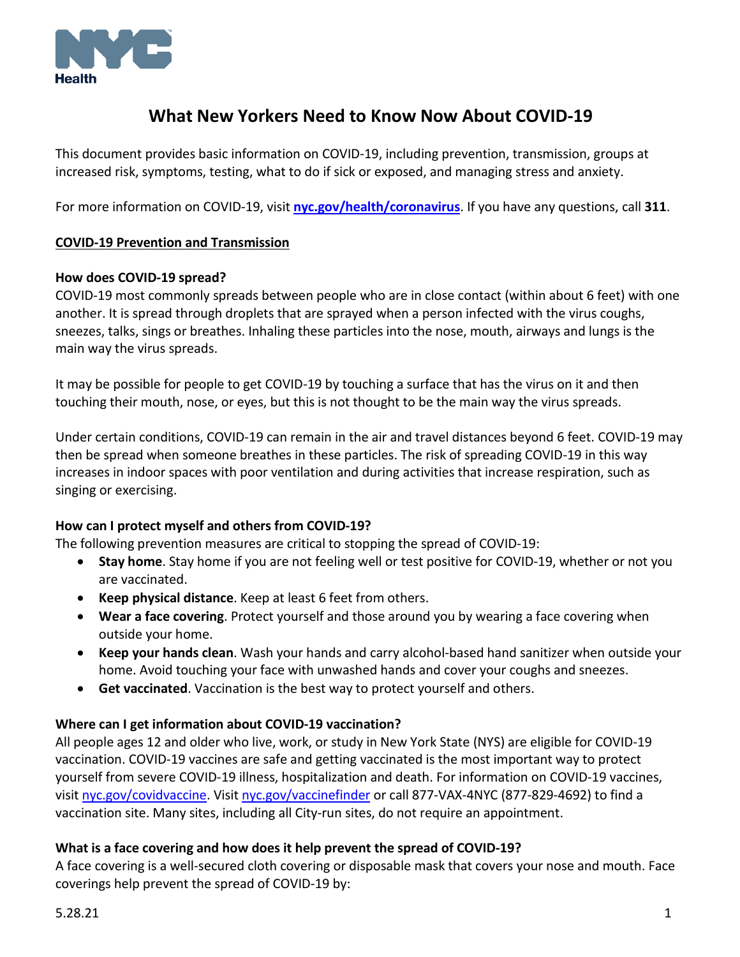

# **What New Yorkers Need to Know Now About COVID-19**

This document provides basic information on COVID-19, including prevention, transmission, groups at increased risk, symptoms, testing, what to do if sick or exposed, and managing stress and anxiety.

For more information on COVID-19, visit **[nyc.gov/health/coronavirus](http://nyc.gov/health/coronavirus)**. If you have any questions, call **311**.

#### **COVID-19 Prevention and Transmission**

#### **How does COVID-19 spread?**

COVID-19 most commonly spreads between people who are in close contact (within about 6 feet) with one another. It is spread through droplets that are sprayed when a person infected with the virus coughs, sneezes, talks, sings or breathes. Inhaling these particles into the nose, mouth, airways and lungs is the main way the virus spreads.

It may be possible for people to get COVID-19 by touching a surface that has the virus on it and then touching their mouth, nose, or eyes, but this is not thought to be the main way the virus spreads.

Under certain conditions, COVID-19 can remain in the air and travel distances beyond 6 feet. COVID-19 may then be spread when someone breathes in these particles. The risk of spreading COVID-19 in this way increases in indoor spaces with poor ventilation and during activities that increase respiration, such as singing or exercising.

# **How can I protect myself and others from COVID-19?**

The following prevention measures are critical to stopping the spread of COVID-19:

- **Stay home**. Stay home if you are not feeling well or test positive for COVID-19, whether or not you are vaccinated.
- **Keep physical distance**. Keep at least 6 feet from others.
- **Wear a face covering**. Protect yourself and those around you by wearing a face covering when outside your home.
- **Keep your hands clean**. Wash your hands and carry alcohol-based hand sanitizer when outside your home. Avoid touching your face with unwashed hands and cover your coughs and sneezes.
- **Get vaccinated**. Vaccination is the best way to protect yourself and others.

#### **Where can I get information about COVID-19 vaccination?**

All people ages 12 and older who live, work, or study in New York State (NYS) are eligible for COVID-19 vaccination. COVID-19 vaccines are safe and getting vaccinated is the most important way to protect yourself from severe COVID-19 illness, hospitalization and death. For information on COVID-19 vaccines, visit [nyc.gov/covidvaccine.](https://www1.nyc.gov/site/doh/covid/covid-19-vaccines.page) Visit [nyc.gov/vaccinefinder](http://vaccinefinder.nyc.gov/) or call 877-VAX-4NYC (877-829-4692) to find a vaccination site. Many sites, including all City-run sites, do not require an appointment.

#### **What is a face covering and how does it help prevent the spread of COVID-19?**

A face covering is a well-secured cloth covering or disposable mask that covers your nose and mouth. Face coverings help prevent the spread of COVID-19 by: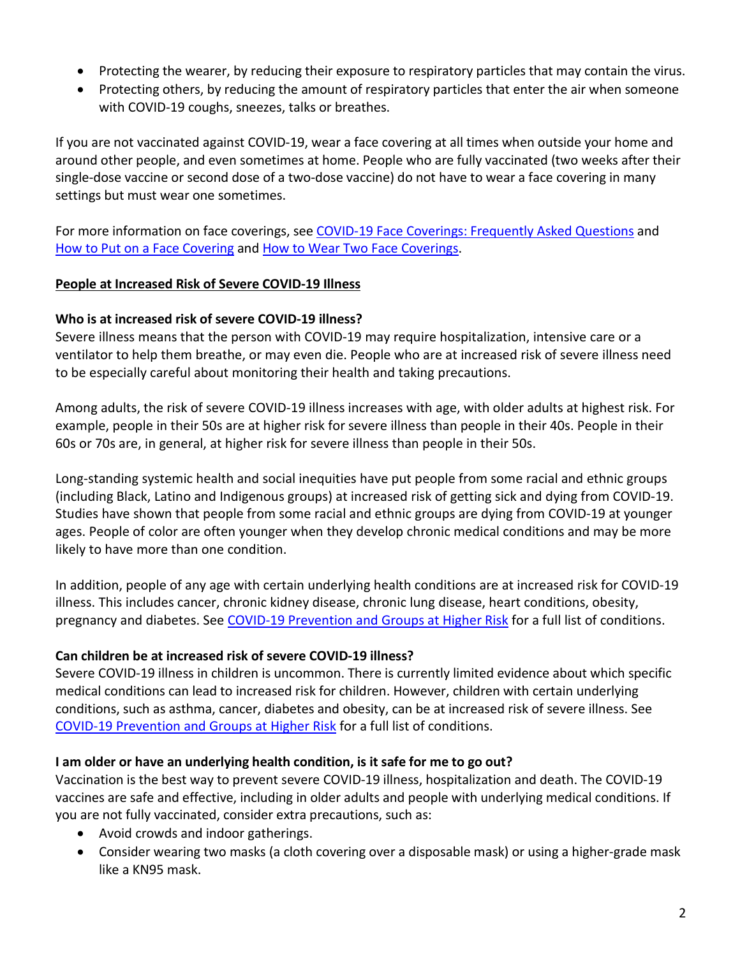- Protecting the wearer, by reducing their exposure to respiratory particles that may contain the virus.
- Protecting others, by reducing the amount of respiratory particles that enter the air when someone with COVID-19 coughs, sneezes, talks or breathes.

If you are not vaccinated against COVID-19, wear a face covering at all times when outside your home and around other people, and even sometimes at home. People who are fully vaccinated (two weeks after their single-dose vaccine or second dose of a two-dose vaccine) do not have to wear a face covering in many settings but must wear one sometimes.

For more information on face coverings, see [COVID-19 Face Coverings: Frequently Asked Questions](https://www1.nyc.gov/assets/doh/downloads/pdf/imm/covid-19-face-covering-faq.pdf) and [How to Put on a Face Covering](https://www1.nyc.gov/assets/doh/downloads/pdf/covid/covid-19-how-to-put-on-face-covering.pdf) and [How to Wear Two Face Coverings.](https://www1.nyc.gov/assets/doh/downloads/pdf/covid/covid-19-two-face-coverings.pdf)

# **People at Increased Risk of Severe COVID-19 Illness**

#### **Who is at increased risk of severe COVID-19 illness?**

Severe illness means that the person with COVID-19 may require hospitalization, intensive care or a ventilator to help them breathe, or may even die. People who are at increased risk of severe illness need to be especially careful about monitoring their health and taking precautions.

Among adults, the risk of severe COVID-19 illness increases with age, with older adults at highest risk. For example, people in their 50s are at higher risk for severe illness than people in their 40s. People in their 60s or 70s are, in general, at higher risk for severe illness than people in their 50s.

Long-standing systemic health and social inequities have put people from some racial and ethnic groups (including Black, Latino and Indigenous groups) at increased risk of getting sick and dying from COVID-19. Studies have shown that people from some racial and ethnic groups are dying from COVID-19 at younger ages. People of color are often younger when they develop chronic medical conditions and may be more likely to have more than one condition.

In addition, people of any age with certain underlying health conditions are at increased risk for COVID-19 illness. This includes cancer, chronic kidney disease, chronic lung disease, heart conditions, obesity, pregnancy and diabetes. See [COVID-19 Prevention and Groups at Higher Risk](https://www1.nyc.gov/site/doh/covid/covid-19-prevention-and-care.page) for a full list of conditions.

# **Can children be at increased risk of severe COVID-19 illness?**

Severe COVID-19 illness in children is uncommon. There is currently limited evidence about which specific medical conditions can lead to increased risk for children. However, children with certain underlying conditions, such as asthma, cancer, diabetes and obesity, can be at increased risk of severe illness. See [COVID-19 Prevention and Groups at Higher Risk](https://www1.nyc.gov/site/doh/covid/covid-19-prevention-and-care.page) for a full list of conditions.

#### **I am older or have an underlying health condition, is it safe for me to go out?**

Vaccination is the best way to prevent severe COVID-19 illness, hospitalization and death. The COVID-19 vaccines are safe and effective, including in older adults and people with underlying medical conditions. If you are not fully vaccinated, consider extra precautions, such as:

- Avoid crowds and indoor gatherings.
- Consider wearing two masks (a cloth covering over a disposable mask) or using a higher-grade mask like a KN95 mask.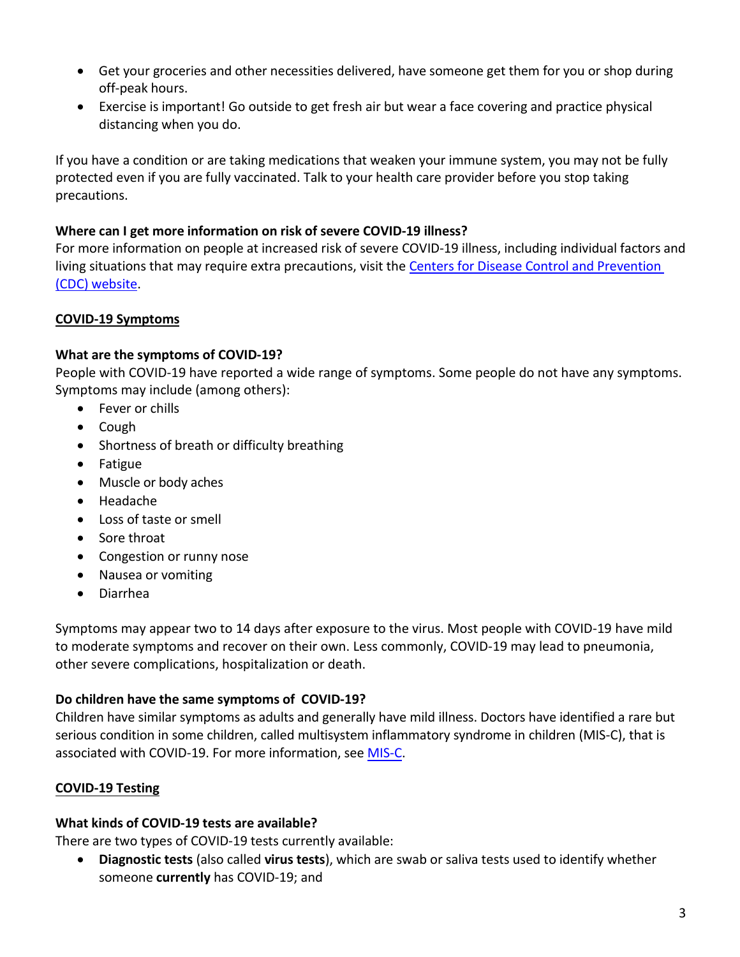- Get your groceries and other necessities delivered, have someone get them for you or shop during off-peak hours.
- Exercise is important! Go outside to get fresh air but wear a face covering and practice physical distancing when you do.

If you have a condition or are taking medications that weaken your immune system, you may not be fully protected even if you are fully vaccinated. Talk to your health care provider before you stop taking precautions.

# **Where can I get more information on risk of severe COVID-19 illness?**

For more information on people at increased risk of severe COVID-19 illness, including individual factors and living situations that may require extra precautions, visit th[e Centers for Disease Control and Prevention](https://cdc.gov/coronavirus/2019-ncov/need-extra-precautions/people-at-increased-risk.html)  (CDC) [website.](https://cdc.gov/coronavirus/2019-ncov/need-extra-precautions/people-at-increased-risk.html)

# **COVID-19 Symptoms**

# **What are the symptoms of COVID-19?**

People with COVID-19 have reported a wide range of symptoms. Some people do not have any symptoms. Symptoms may include (among others):

- Fever or chills
- Cough
- Shortness of breath or difficulty breathing
- Fatigue
- Muscle or body aches
- Headache
- Loss of taste or smell
- Sore throat
- Congestion or runny nose
- Nausea or vomiting
- Diarrhea

Symptoms may appear two to 14 days after exposure to the virus. Most people with COVID-19 have mild to moderate symptoms and recover on their own. Less commonly, COVID-19 may lead to pneumonia, other severe complications, hospitalization or death.

# **Do children have the same symptoms of COVID-19?**

Children have similar symptoms as adults and generally have mild illness. Doctors have identified a rare but serious condition in some children, called multisystem inflammatory syndrome in children (MIS-C), that is associated with COVID-19. For more information, see [MIS-C.](https://www1.nyc.gov/site/doh/health/health-topics/multisystem-inflammatory-syndrome.page)

# **COVID-19 Testing**

# **What kinds of COVID-19 tests are available?**

There are two types of COVID-19 tests currently available:

• **Diagnostic tests** (also called **virus tests**), which are swab or saliva tests used to identify whether someone **currently** has COVID-19; and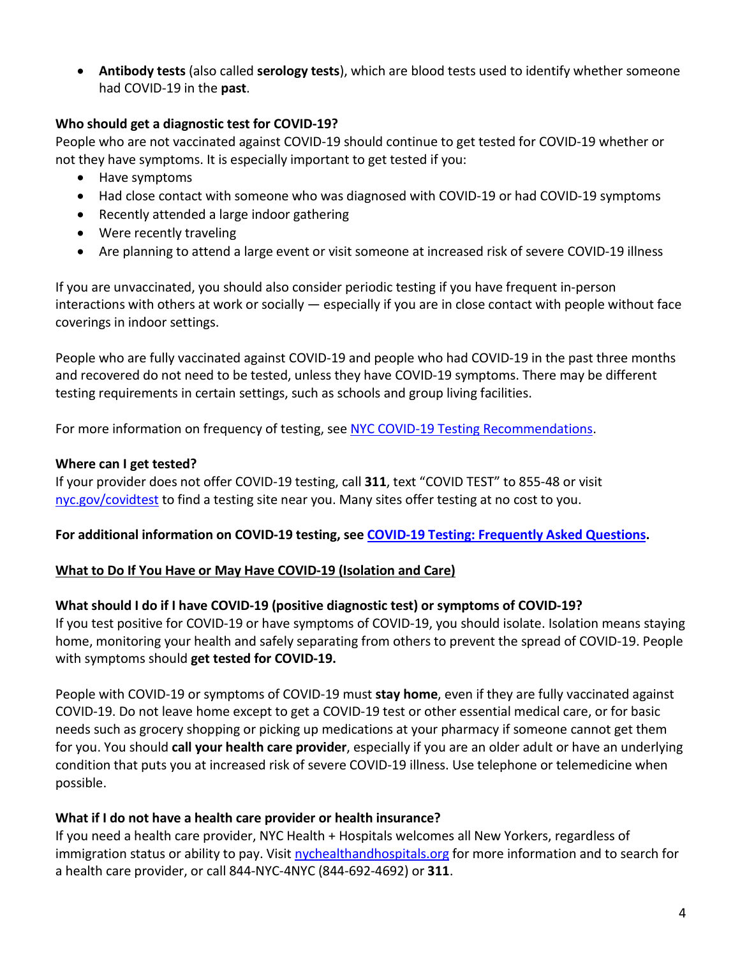• **Antibody tests** (also called **serology tests**), which are blood tests used to identify whether someone had COVID-19 in the **past**.

#### **Who should get a diagnostic test for COVID-19?**

People who are not vaccinated against COVID-19 should continue to get tested for COVID-19 whether or not they have symptoms. It is especially important to get tested if you:

- Have symptoms
- Had close contact with someone who was diagnosed with COVID-19 or had COVID-19 symptoms
- Recently attended a large indoor gathering
- Were recently traveling
- Are planning to attend a large event or visit someone at increased risk of severe COVID-19 illness

If you are unvaccinated, you should also consider periodic testing if you have frequent in-person interactions with others at work or socially — especially if you are in close contact with people without face coverings in indoor settings.

People who are fully vaccinated against COVID-19 and people who had COVID-19 in the past three months and recovered do not need to be tested, unless they have COVID-19 symptoms. There may be different testing requirements in certain settings, such as schools and group living facilities.

For more information on frequency of testing, see [NYC COVID-19 Testing Recommendations.](https://www1.nyc.gov/assets/doh/downloads/pdf/covid/covid-19-testing-recommendations.pdf)

# **Where can I get tested?**

If your provider does not offer COVID-19 testing, call **311**, text "COVID TEST" to 855-48 or visit [nyc.gov/covidtest](http://nyc.gov/covidtest) to find a testing site near you. Many sites offer testing at no cost to you.

# **For additional information on COVID-19 testing, see [COVID-19 Testing: Frequently Asked Questions.](https://www1.nyc.gov/assets/doh/downloads/pdf/imm/covid-19-testing-faq.pdf)**

# **What to Do If You Have or May Have COVID-19 (Isolation and Care)**

# **What should I do if I have COVID-19 (positive diagnostic test) or symptoms of COVID-19?**

If you test positive for COVID-19 or have symptoms of COVID-19, you should isolate. Isolation means staying home, monitoring your health and safely separating from others to prevent the spread of COVID-19. People with symptoms should **get tested for COVID-19.**

People with COVID-19 or symptoms of COVID-19 must **stay home**, even if they are fully vaccinated against COVID-19. Do not leave home except to get a COVID-19 test or other essential medical care, or for basic needs such as grocery shopping or picking up medications at your pharmacy if someone cannot get them for you. You should **call your health care provider**, especially if you are an older adult or have an underlying condition that puts you at increased risk of severe COVID-19 illness. Use telephone or telemedicine when possible.

# **What if I do not have a health care provider or health insurance?**

If you need a health care provider, NYC Health + Hospitals welcomes all New Yorkers, regardless of immigration status or ability to pay. Visit [nychealthandhospitals.org](https://www.nychealthandhospitals.org/hospitals/) for more information and to search for a health care provider, or call 844-NYC-4NYC (844-692-4692) or **311**.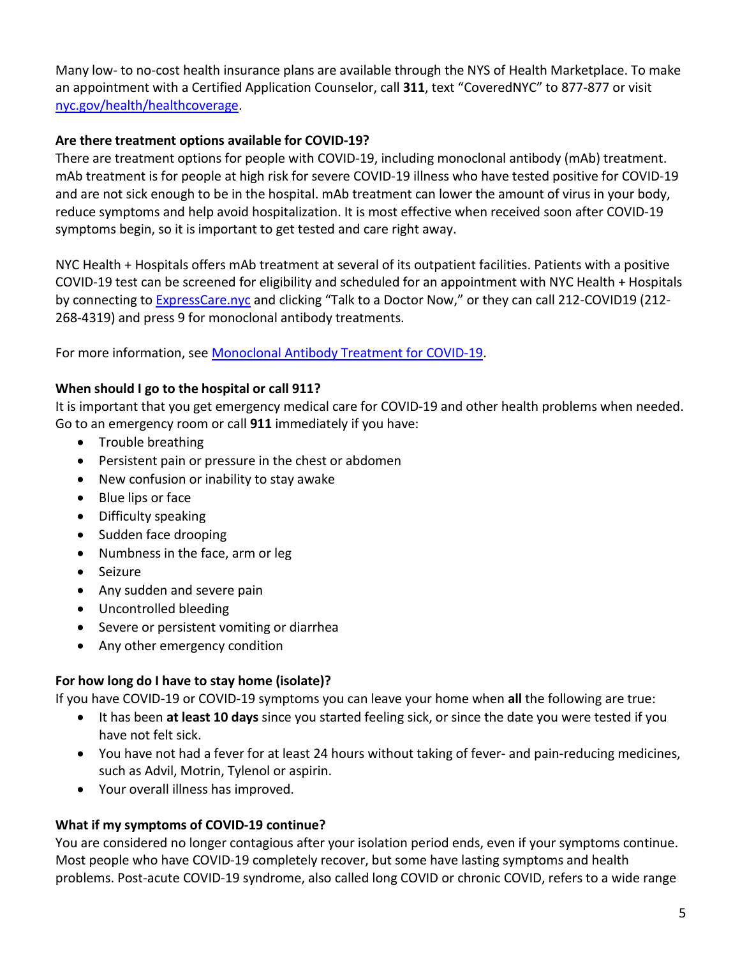Many low- to no-cost health insurance plans are available through the NYS of Health Marketplace. To make an appointment with a Certified Application Counselor, call **311**, text "CoveredNYC" to 877-877 or visit [nyc.gov/health/healthcoverage.](http://nyc.gov/health/healthcoverage)

# **Are there treatment options available for COVID-19?**

There are treatment options for people with COVID-19, including monoclonal antibody (mAb) treatment. mAb treatment is for people at high risk for severe COVID-19 illness who have tested positive for COVID-19 and are not sick enough to be in the hospital. mAb treatment can lower the amount of virus in your body, reduce symptoms and help avoid hospitalization. It is most effective when received soon after COVID-19 symptoms begin, so it is important to get tested and care right away.

NYC Health + Hospitals offers mAb treatment at several of its outpatient facilities. Patients with a positive COVID-19 test can be screened for eligibility and scheduled for an appointment with NYC Health + Hospitals by connecting to [ExpressCare.nyc](https://expresscare.nyc/) and clicking "Talk to a Doctor Now," or they can call 212-COVID19 (212- 268-4319) and press 9 for monoclonal antibody treatments.

For more information, see [Monoclonal Antibody Treatment for COVID-19.](https://www1.nyc.gov/assets/doh/downloads/pdf/covid/covid-19-monoclonal-antibody-treatment.pdf)

# **When should I go to the hospital or call 911?**

It is important that you get emergency medical care for COVID-19 and other health problems when needed. Go to an emergency room or call **911** immediately if you have:

- Trouble breathing
- Persistent pain or pressure in the chest or abdomen
- New confusion or inability to stay awake
- Blue lips or face
- Difficulty speaking
- Sudden face drooping
- Numbness in the face, arm or leg
- Seizure
- Any sudden and severe pain
- Uncontrolled bleeding
- Severe or persistent vomiting or diarrhea
- Any other emergency condition

# **For how long do I have to stay home (isolate)?**

If you have COVID-19 or COVID-19 symptoms you can leave your home when **all** the following are true:

- It has been **at least 10 days** since you started feeling sick, or since the date you were tested if you have not felt sick.
- You have not had a fever for at least 24 hours without taking of fever- and pain-reducing medicines, such as Advil, Motrin, Tylenol or aspirin.
- Your overall illness has improved.

# **What if my symptoms of COVID-19 continue?**

You are considered no longer contagious after your isolation period ends, even if your symptoms continue. Most people who have COVID-19 completely recover, but some have lasting symptoms and health problems. Post-acute COVID-19 syndrome, also called long COVID or chronic COVID, refers to a wide range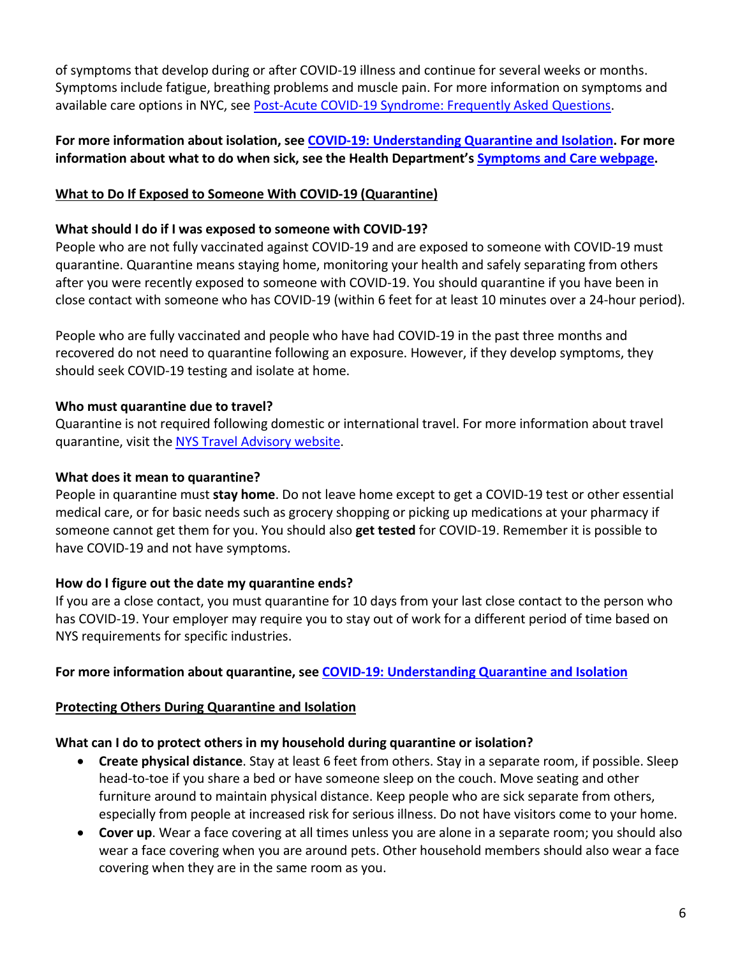of symptoms that develop during or after COVID-19 illness and continue for several weeks or months. Symptoms include fatigue, breathing problems and muscle pain. For more information on symptoms and available care options in NYC, see [Post-Acute COVID-19 Syndrome: Frequently Asked Questions.](https://www1.nyc.gov/assets/doh/downloads/pdf/covid/covid-19-long-covid-faq.pdf)

# **For more information about isolation, see [COVID-19: Understanding Quarantine and Isolation.](https://www1.nyc.gov/assets/doh/downloads/pdf/covid/covid-19-understanding-quarantine-and-isolation.pdf) For more information about what to do when sick, see the Health Department's [Symptoms and Care webpage.](https://www1.nyc.gov/site/doh/covid/covid-19-symptoms-chronic-health-risks.page)**

# **What to Do If Exposed to Someone With COVID-19 (Quarantine)**

# **What should I do if I was exposed to someone with COVID-19?**

People who are not fully vaccinated against COVID-19 and are exposed to someone with COVID-19 must quarantine. Quarantine means staying home, monitoring your health and safely separating from others after you were recently exposed to someone with COVID-19. You should quarantine if you have been in close contact with someone who has COVID-19 (within 6 feet for at least 10 minutes over a 24-hour period).

People who are fully vaccinated and people who have had COVID-19 in the past three months and recovered do not need to quarantine following an exposure. However, if they develop symptoms, they should seek COVID-19 testing and isolate at home.

# **Who must quarantine due to travel?**

Quarantine is not required following domestic or international travel. For more information about travel quarantine, visit the NYS Travel [Advisory website.](https://coronavirus.health.ny.gov/covid-19-traveladvisory)

# **What does it mean to quarantine?**

People in quarantine must **stay home**. Do not leave home except to get a COVID-19 test or other essential medical care, or for basic needs such as grocery shopping or picking up medications at your pharmacy if someone cannot get them for you. You should also **get tested** for COVID-19. Remember it is possible to have COVID-19 and not have symptoms.

# **How do I figure out the date my quarantine ends?**

If you are a close contact, you must quarantine for 10 days from your last close contact to the person who has COVID-19. Your employer may require you to stay out of work for a different period of time based on NYS requirements for specific industries.

# **For more information about quarantine, se[e COVID-19: Understanding Quarantine and Isolation](https://www1.nyc.gov/assets/doh/downloads/pdf/covid/covid-19-understanding-quarantine-and-isolation.pdf)**

# **Protecting Others During Quarantine and Isolation**

# **What can I do to protect others in my household during quarantine or isolation?**

- **Create physical distance**. Stay at least 6 feet from others. Stay in a separate room, if possible. Sleep head-to-toe if you share a bed or have someone sleep on the couch. Move seating and other furniture around to maintain physical distance. Keep people who are sick separate from others, especially from people at increased risk for serious illness. Do not have visitors come to your home.
- **Cover up**. Wear a face covering at all times unless you are alone in a separate room; you should also wear a face covering when you are around pets. Other household members should also wear a face covering when they are in the same room as you.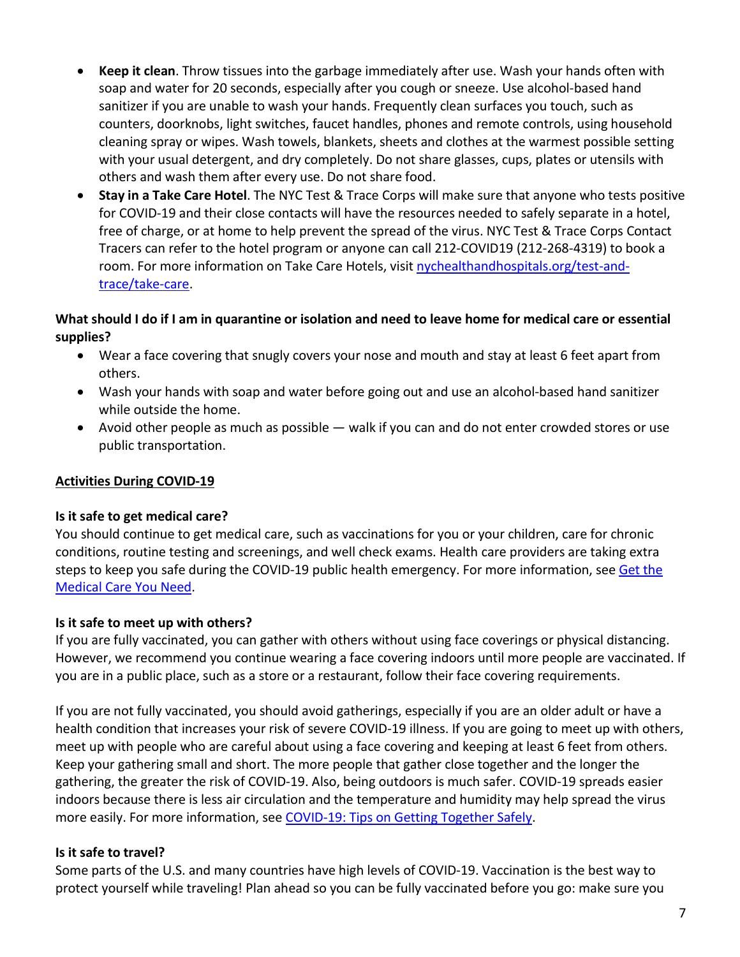- **Keep it clean**. Throw tissues into the garbage immediately after use. Wash your hands often with soap and water for 20 seconds, especially after you cough or sneeze. Use alcohol-based hand sanitizer if you are unable to wash your hands. Frequently clean surfaces you touch, such as counters, doorknobs, light switches, faucet handles, phones and remote controls, using household cleaning spray or wipes. Wash towels, blankets, sheets and clothes at the warmest possible setting with your usual detergent, and dry completely. Do not share glasses, cups, plates or utensils with others and wash them after every use. Do not share food.
- **Stay in a Take Care Hotel**. The NYC Test & Trace Corps will make sure that anyone who tests positive for COVID-19 and their close contacts will have the resources needed to safely separate in a hotel, free of charge, or at home to help prevent the spread of the virus. NYC Test & Trace Corps Contact Tracers can refer to the hotel program or anyone can call 212-COVID19 (212-268-4319) to book a room. For more information on Take Care Hotels, visit [nychealthandhospitals.org/test-and](https://www.nychealthandhospitals.org/test-and-trace/take-care/)[trace/take-care.](https://www.nychealthandhospitals.org/test-and-trace/take-care/)

#### **What should I do if I am in quarantine or isolation and need to leave home for medical care or essential supplies?**

- Wear a face covering that snugly covers your nose and mouth and stay at least 6 feet apart from others.
- Wash your hands with soap and water before going out and use an alcohol-based hand sanitizer while outside the home.
- Avoid other people as much as possible walk if you can and do not enter crowded stores or use public transportation.

# **Activities During COVID-19**

# **Is it safe to get medical care?**

You should continue to get medical care, such as vaccinations for you or your children, care for chronic conditions, routine testing and screenings, and well check exams. Health care providers are taking extra steps to keep you safe during the COVID-19 public health emergency. For more information, see [Get the](https://www1.nyc.gov/assets/doh/downloads/pdf/covid/covid-19-medical-care-you-need.pdf) [Medical Care You Need.](https://www1.nyc.gov/assets/doh/downloads/pdf/covid/covid-19-medical-care-you-need.pdf)

# **Is it safe to meet up with others?**

If you are fully vaccinated, you can gather with others without using face coverings or physical distancing. However, we recommend you continue wearing a face covering indoors until more people are vaccinated. If you are in a public place, such as a store or a restaurant, follow their face covering requirements.

If you are not fully vaccinated, you should avoid gatherings, especially if you are an older adult or have a health condition that increases your risk of severe COVID-19 illness. If you are going to meet up with others, meet up with people who are careful about using a face covering and keeping at least 6 feet from others. Keep your gathering small and short. The more people that gather close together and the longer the gathering, the greater the risk of COVID-19. Also, being outdoors is much safer. COVID-19 spreads easier indoors because there is less air circulation and the temperature and humidity may help spread the virus more easily. For more information, see [COVID-19: Tips on Getting Together Safely.](https://www1.nyc.gov/assets/doh/downloads/pdf/imm/covid-19-getting-together-safely.pdf)

# **Is it safe to travel?**

Some parts of the U.S. and many countries have high levels of COVID-19. Vaccination is the best way to protect yourself while traveling! Plan ahead so you can be fully vaccinated before you go: make sure you